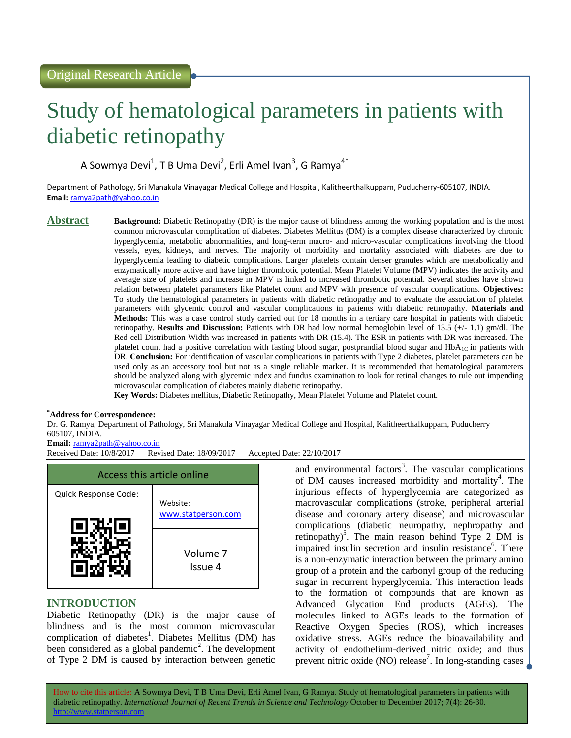# Study of hematological parameters in patients with diabetic retinopathy

A Sowmya Devi<sup>1</sup>, T B Uma Devi<sup>2</sup>, Erli Amel Ivan<sup>3</sup>, G Ramya<sup>4\*</sup>

Department of Pathology, Sri Manakula Vinayagar Medical College and Hospital, Kalitheerthalkuppam, Puducherry-605107, INDIA. **Email:** <ramya2path@yahoo.co.in>

**Abstract Background:** Diabetic Retinopathy (DR) is the major cause of blindness among the working population and is the most common microvascular complication of diabetes. Diabetes Mellitus (DM) is a complex disease characterized by chronic hyperglycemia, metabolic abnormalities, and long-term macro- and micro-vascular complications involving the blood vessels, eyes, kidneys, and nerves. The majority of morbidity and mortality associated with diabetes are due to hyperglycemia leading to diabetic complications. Larger platelets contain denser granules which are metabolically and enzymatically more active and have higher thrombotic potential. Mean Platelet Volume (MPV) indicates the activity and average size of platelets and increase in MPV is linked to increased thrombotic potential. Several studies have shown relation between platelet parameters like Platelet count and MPV with presence of vascular complications. **Objectives:**  To study the hematological parameters in patients with diabetic retinopathy and to evaluate the association of platelet parameters with glycemic control and vascular complications in patients with diabetic retinopathy. **Materials and Methods:** This was a case control study carried out for 18 months in a tertiary care hospital in patients with diabetic retinopathy. **Results and Discussion:** Patients with DR had low normal hemoglobin level of 13.5 (+/- 1.1) gm/dl. The Red cell Distribution Width was increased in patients with DR (15.4). The ESR in patients with DR was increased. The platelet count had a positive correlation with fasting blood sugar, postprandial blood sugar and  $HbA_1C$  in patients with DR. **Conclusion:** For identification of vascular complications in patients with Type 2 diabetes, platelet parameters can be used only as an accessory tool but not as a single reliable marker. It is recommended that hematological parameters should be analyzed along with glycemic index and fundus examination to look for retinal changes to rule out impending microvascular complication of diabetes mainly diabetic retinopathy.

**Key Words:** Diabetes mellitus, Diabetic Retinopathy, Mean Platelet Volume and Platelet count.

# **\*Address for Correspondence:**

Dr. G. Ramya, Department of Pathology, Sri Manakula Vinayagar Medical College and Hospital, Kalitheerthalkuppam, Puducherry 605107, INDIA.

# **Email:** <ramya2path@yahoo.co.in>

Received Date: 10/8/2017 Revised Date: 18/09/2017 Accepted Date: 22/10/2017



# **INTRODUCTION**

Diabetic Retinopathy (DR) is the major cause of blindness and is the most common microvascular complication of diabetes<sup>1</sup>. Diabetes Mellitus (DM) has been considered as a global pandemic<sup>2</sup>. The development of Type 2 DM is caused by interaction between genetic

and environmental factors<sup>3</sup>. The vascular complications of DM causes increased morbidity and mortality<sup>4</sup>. The injurious effects of hyperglycemia are categorized as macrovascular complications (stroke, peripheral arterial disease and coronary artery disease) and microvascular complications (diabetic neuropathy, nephropathy and retinopathy)<sup>5</sup>. The main reason behind Type 2 DM is impaired insulin secretion and insulin resistance<sup>6</sup>. There is a non-enzymatic interaction between the primary amino group of a protein and the carbonyl group of the reducing sugar in recurrent hyperglycemia. This interaction leads to the formation of compounds that are known as Advanced Glycation End products (AGEs). The molecules linked to AGEs leads to the formation of Reactive Oxygen Species (ROS), which increases oxidative stress. AGEs reduce the bioavailability and activity of endothelium-derived nitric oxide; and thus prevent nitric oxide  $(NO)$  release<sup>7</sup>. In long-standing cases

How to cite this article: A Sowmya Devi, T B Uma Devi, Erli Amel Ivan, G Ramya*.* Study of hematological parameters in patients with diabetic retinopathy. *International Journal of Recent Trends in Science and Technology* October to December 2017; 7(4): 26-30. http://www.statperson.com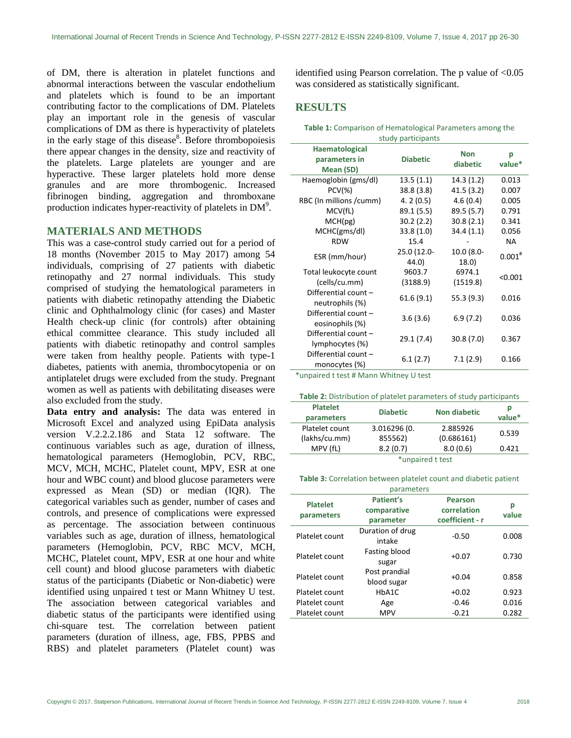of DM, there is alteration in platelet functions and abnormal interactions between the vascular endothelium and platelets which is found to be an important contributing factor to the complications of DM. Platelets play an important role in the genesis of vascular complications of DM as there is hyperactivity of platelets in the early stage of this disease<sup>8</sup>. Before thrombopoiesis there appear changes in the density, size and reactivity of the platelets. Large platelets are younger and are hyperactive. These larger platelets hold more dense granules and are more thrombogenic. Increased fibrinogen binding, aggregation and thromboxane production indicates hyper-reactivity of platelets in  $DM<sup>9</sup>$ .

# **MATERIALS AND METHODS**

This was a case-control study carried out for a period of 18 months (November 2015 to May 2017) among 54 individuals, comprising of 27 patients with diabetic retinopathy and 27 normal individuals. This study comprised of studying the hematological parameters in patients with diabetic retinopathy attending the Diabetic clinic and Ophthalmology clinic (for cases) and Master Health check-up clinic (for controls) after obtaining ethical committee clearance. This study included all patients with diabetic retinopathy and control samples were taken from healthy people. Patients with type-1 diabetes, patients with anemia, thrombocytopenia or on antiplatelet drugs were excluded from the study. Pregnant women as well as patients with debilitating diseases were also excluded from the study.

**Data entry and analysis:** The data was entered in Microsoft Excel and analyzed using EpiData analysis version V.2.2.2.186 and Stata 12 software. The continuous variables such as age, duration of illness, hematological parameters (Hemoglobin, PCV, RBC, MCV, MCH, MCHC, Platelet count, MPV, ESR at one hour and WBC count) and blood glucose parameters were expressed as Mean (SD) or median (IQR). The categorical variables such as gender, number of cases and controls, and presence of complications were expressed as percentage. The association between continuous variables such as age, duration of illness, hematological parameters (Hemoglobin, PCV, RBC MCV, MCH, MCHC, Platelet count, MPV, ESR at one hour and white cell count) and blood glucose parameters with diabetic status of the participants (Diabetic or Non-diabetic) were identified using unpaired t test or Mann Whitney U test. The association between categorical variables and diabetic status of the participants were identified using chi-square test. The correlation between patient parameters (duration of illness, age, FBS, PPBS and RBS) and platelet parameters (Platelet count) was

identified using Pearson correlation. The p value of <0.05 was considered as statistically significant.

# **RESULTS**

**Table 1:** Comparison of Hematological Parameters among the study participants

| stuuy participalits                          |                      |                        |             |
|----------------------------------------------|----------------------|------------------------|-------------|
| Haematological<br>parameters in<br>Mean (SD) | <b>Diabetic</b>      | <b>Non</b><br>diabetic | р<br>value* |
| Haemoglobin (gms/dl)                         | 13.5(1.1)            | 14.3(1.2)              | 0.013       |
| $PCV(\%)$                                    | 38.8(3.8)            | 41.5(3.2)              | 0.007       |
| RBC (In millions /cumm)                      | 4.2(0.5)             | 4.6(0.4)               | 0.005       |
| MCV(fL)                                      | 89.1 (5.5)           | 89.5 (5.7)             | 0.791       |
| MCH(pg)                                      | 30.2(2.2)            | 30.8(2.1)              | 0.341       |
| MCHC(gms/dl)                                 | 33.8(1.0)            | 34.4(1.1)              | 0.056       |
| <b>RDW</b>                                   | 15.4                 |                        | NA.         |
| ESR (mm/hour)                                | 25.0 (12.0-<br>44.0) | 10.0 (8.0-<br>18.0)    | $0.001^{#}$ |
| Total leukocyte count                        | 9603.7               | 6974.1                 |             |
| (cells/cu.mm)                                | (3188.9)             | (1519.8)               | < 0.001     |
| Differential count -<br>neutrophils (%)      | 61.6 (9.1)           | 55.3 (9.3)             | 0.016       |
| Differential count -<br>eosinophils (%)      | 3.6(3.6)             | 6.9(7.2)               | 0.036       |
| Differential count -<br>lymphocytes (%)      | 29.1 (7.4)           | 30.8(7.0)              | 0.367       |
| Differential count -<br>monocytes (%)        | 6.1(2.7)             | 7.1(2.9)               | 0.166       |

\*unpaired t test # Mann Whitney U test

| Table 2: Distribution of platelet parameters of study participants |  |  |
|--------------------------------------------------------------------|--|--|
|--------------------------------------------------------------------|--|--|

| <b>Platelet</b><br>parameters | <b>Diabetic</b>  | <b>Non diabetic</b> | р<br>value* |
|-------------------------------|------------------|---------------------|-------------|
| Platelet count                | 3.016296 (0.     | 2.885926            |             |
| (lakhs/cu.mm)                 | 855562)          | (0.686161)          | 0.539       |
| MPV (fL)                      | 8.2(0.7)         | 8.0(0.6)            | 0.421       |
|                               | *unpaired t test |                     |             |

**Table 3:** Correlation between platelet count and diabetic patient parameters

| <b>Platelet</b><br>parameters | Patient's<br>comparative<br>parameter | <b>Pearson</b><br>correlation<br>coefficient - r | р<br>value |
|-------------------------------|---------------------------------------|--------------------------------------------------|------------|
| Platelet count                | Duration of drug<br>intake            | $-0.50$                                          | 0.008      |
| Platelet count                | Fasting blood<br>sugar                | $+0.07$                                          | 0.730      |
| Platelet count                | Post prandial<br>blood sugar          | $+0.04$                                          | 0.858      |
| Platelet count                | HbA1C                                 | $+0.02$                                          | 0.923      |
| Platelet count                | Age                                   | $-0.46$                                          | 0.016      |
| Platelet count                | <b>MPV</b>                            | $-0.21$                                          | 0.282      |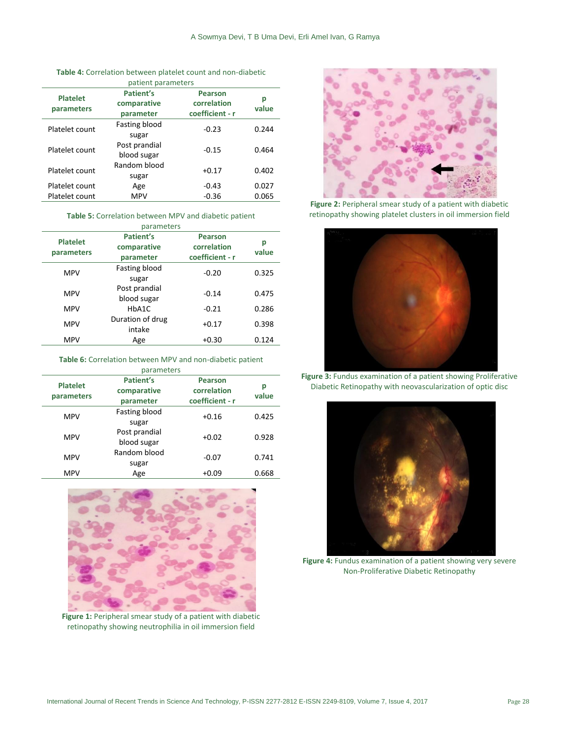| patient parameters            |                                       |                                                  |            |
|-------------------------------|---------------------------------------|--------------------------------------------------|------------|
| <b>Platelet</b><br>parameters | Patient's<br>comparative<br>parameter | <b>Pearson</b><br>correlation<br>coefficient - r | р<br>value |
| Platelet count                | Fasting blood<br>sugar                | $-0.23$                                          | 0.244      |
| Platelet count                | Post prandial<br>blood sugar          | $-0.15$                                          | 0.464      |
| Platelet count                | Random blood<br>sugar                 | $+0.17$                                          | 0.402      |
| Platelet count                | Age                                   | $-0.43$                                          | 0.027      |
| Platelet count                | <b>MPV</b>                            | $-0.36$                                          | 0.065      |

#### **Table 5:** Correlation between MPV and diabetic patient parameters

| parameters                    |                                       |                                                  |            |
|-------------------------------|---------------------------------------|--------------------------------------------------|------------|
| <b>Platelet</b><br>parameters | Patient's<br>comparative<br>parameter | <b>Pearson</b><br>correlation<br>coefficient - r | р<br>value |
| <b>MPV</b>                    | Fasting blood<br>sugar                | $-0.20$                                          | 0.325      |
| <b>MPV</b>                    | Post prandial<br>blood sugar          | $-0.14$                                          | 0.475      |
| <b>MPV</b>                    | HbA1C                                 | $-0.21$                                          | 0.286      |
| <b>MPV</b>                    | Duration of drug<br>intake            | $+0.17$                                          | 0.398      |
| <b>MPV</b>                    | Age                                   | $+0.30$                                          | 0.124      |
|                               |                                       |                                                  |            |

#### **Table 6:** Correlation between MPV and non-diabetic patient

| parameters                    |                                       |                                                  |            |
|-------------------------------|---------------------------------------|--------------------------------------------------|------------|
| <b>Platelet</b><br>parameters | Patient's<br>comparative<br>parameter | <b>Pearson</b><br>correlation<br>coefficient - r | р<br>value |
| <b>MPV</b>                    | Fasting blood<br>sugar                | $+0.16$                                          | 0.425      |
| <b>MPV</b>                    | Post prandial<br>blood sugar          | $+0.02$                                          | 0.928      |
| <b>MPV</b>                    | Random blood<br>sugar                 | $-0.07$                                          | 0.741      |
| <b>MPV</b>                    | Age                                   | $+0.09$                                          | 0.668      |



Figure 1: Peripheral smear study of a patient with diabetic retinopathy showing neutrophilia in oil immersion field



Figure 2: Peripheral smear study of a patient with diabetic retinopathy showing platelet clusters in oil immersion field



**Figure 3:** Fundus examination of a patient showing Proliferative Diabetic Retinopathy with neovascularization of optic disc



**Figure 4:** Fundus examination of a patient showing very severe Non-Proliferative Diabetic Retinopathy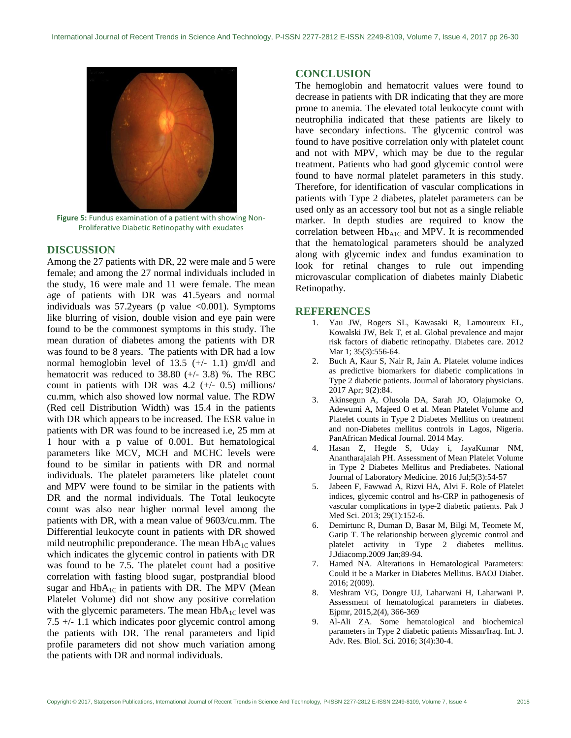

**Figure 5:** Fundus examination of a patient with showing Non-Proliferative Diabetic Retinopathy with exudates

# **DISCUSSION**

Among the 27 patients with DR, 22 were male and 5 were female; and among the 27 normal individuals included in the study, 16 were male and 11 were female. The mean age of patients with DR was 41.5years and normal individuals was  $57.2$ years (p value <0.001). Symptoms like blurring of vision, double vision and eye pain were found to be the commonest symptoms in this study. The mean duration of diabetes among the patients with DR was found to be 8 years. The patients with DR had a low normal hemoglobin level of 13.5 (+/- 1.1) gm/dl and hematocrit was reduced to 38.80 (+/- 3.8) %. The RBC count in patients with DR was  $4.2$  ( $+/-$  0.5) millions/ cu.mm, which also showed low normal value. The RDW (Red cell Distribution Width) was 15.4 in the patients with DR which appears to be increased. The ESR value in patients with DR was found to be increased i.e, 25 mm at 1 hour with a p value of 0.001. But hematological parameters like MCV, MCH and MCHC levels were found to be similar in patients with DR and normal individuals. The platelet parameters like platelet count and MPV were found to be similar in the patients with DR and the normal individuals. The Total leukocyte count was also near higher normal level among the patients with DR, with a mean value of 9603/cu.mm. The Differential leukocyte count in patients with DR showed mild neutrophilic preponderance. The mean  $HbA_{1C}$  values which indicates the glycemic control in patients with DR was found to be 7.5. The platelet count had a positive correlation with fasting blood sugar, postprandial blood sugar and  $HbA_{1C}$  in patients with DR. The MPV (Mean Platelet Volume) did not show any positive correlation with the glycemic parameters. The mean  $HbA_{1C}$  level was 7.5 +/- 1.1 which indicates poor glycemic control among the patients with DR. The renal parameters and lipid profile parameters did not show much variation among the patients with DR and normal individuals.

### **CONCLUSION**

The hemoglobin and hematocrit values were found to decrease in patients with DR indicating that they are more prone to anemia. The elevated total leukocyte count with neutrophilia indicated that these patients are likely to have secondary infections. The glycemic control was found to have positive correlation only with platelet count and not with MPV, which may be due to the regular treatment. Patients who had good glycemic control were found to have normal platelet parameters in this study. Therefore, for identification of vascular complications in patients with Type 2 diabetes, platelet parameters can be used only as an accessory tool but not as a single reliable marker. In depth studies are required to know the correlation between  $Hb_{A1C}$  and MPV. It is recommended that the hematological parameters should be analyzed along with glycemic index and fundus examination to look for retinal changes to rule out impending microvascular complication of diabetes mainly Diabetic Retinopathy.

# **REFERENCES**

- 1. Yau JW, Rogers SL, Kawasaki R, Lamoureux EL, Kowalski JW, Bek T, et al. Global prevalence and major risk factors of diabetic retinopathy. Diabetes care. 2012 Mar 1; 35(3):556-64.
- 2. Buch A, Kaur S, Nair R, Jain A. Platelet volume indices as predictive biomarkers for diabetic complications in Type 2 diabetic patients. Journal of laboratory physicians. 2017 Apr; 9(2):84.
- 3. Akinsegun A, Olusola DA, Sarah JO, Olajumoke O, Adewumi A, Majeed O et al. Mean Platelet Volume and Platelet counts in Type 2 Diabetes Mellitus on treatment and non-Diabetes mellitus controls in Lagos, Nigeria. PanAfrican Medical Journal. 2014 May.
- 4. Hasan Z, Hegde S, Uday i, JayaKumar NM, Anantharajaiah PH. Assessment of Mean Platelet Volume in Type 2 Diabetes Mellitus and Prediabetes. National Journal of Laboratory Medicine. 2016 Jul;5(3):54-57
- 5. Jabeen F, Fawwad A, Rizvi HA, Alvi F. Role of Platelet indices, glycemic control and hs-CRP in pathogenesis of vascular complications in type-2 diabetic patients. Pak J Med Sci. 2013; 29(1):152-6.
- 6. Demirtunc R, Duman D, Basar M, Bilgi M, Teomete M, Garip T. The relationship between glycemic control and platelet activity in Type 2 diabetes mellitus. J.Jdiacomp.2009 Jan;89-94.
- 7. Hamed NA. Alterations in Hematological Parameters: Could it be a Marker in Diabetes Mellitus. BAOJ Diabet. 2016; 2(009).
- 8. Meshram VG, Dongre UJ, Laharwani H, Laharwani P. Assessment of hematological parameters in diabetes. Ejpmr, 2015,2(4), 366-369
- 9. Al-Ali ZA. Some hematological and biochemical parameters in Type 2 diabetic patients Missan/Iraq. Int. J. Adv. Res. Biol. Sci. 2016; 3(4):30-4.